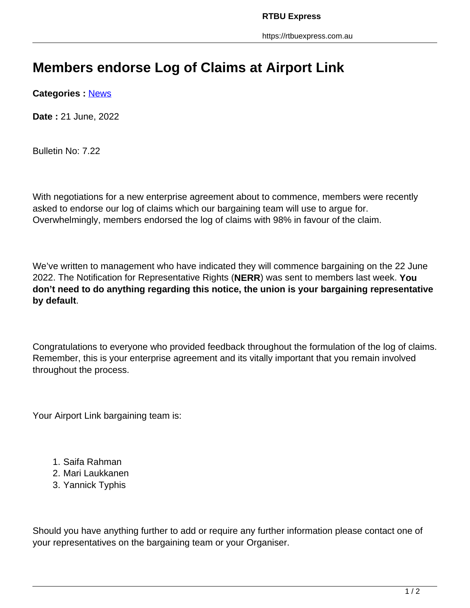## **Members endorse Log of Claims at Airport Link**

**Categories :** [News](https://rtbuexpress.com.au/category/news/)

**Date :** 21 June, 2022

Bulletin No: 7.22

With negotiations for a new enterprise agreement about to commence, members were recently asked to endorse our log of claims which our bargaining team will use to argue for. Overwhelmingly, members endorsed the log of claims with 98% in favour of the claim.

We've written to management who have indicated they will commence bargaining on the 22 June 2022. The Notification for Representative Rights (**NERR**) was sent to members last week. **You don't need to do anything regarding this notice, the union is your bargaining representative by default**.

Congratulations to everyone who provided feedback throughout the formulation of the log of claims. Remember, this is your enterprise agreement and its vitally important that you remain involved throughout the process.

Your Airport Link bargaining team is:

- 1. Saifa Rahman
- 2. Mari Laukkanen
- 3. Yannick Typhis

Should you have anything further to add or require any further information please contact one of your representatives on the bargaining team or your Organiser.